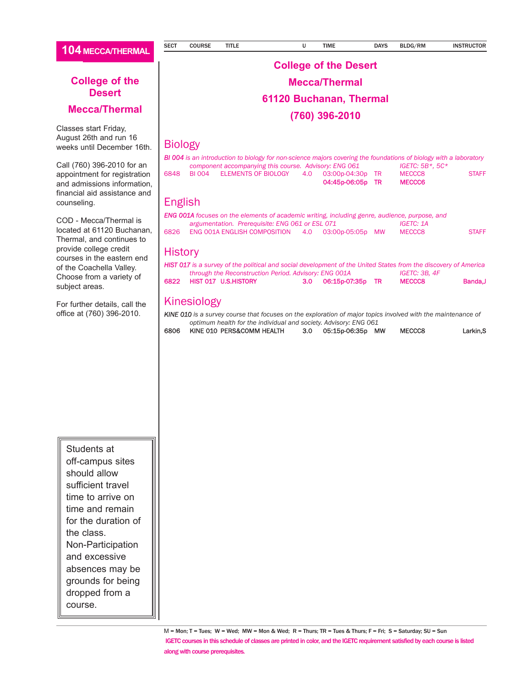#### **Mecca/Thermal**

Classes start Friday, August 26th and run 16 weeks until December 16th.

Call (760) 396-2010 for an appointment for registration and admissions information, financial aid assistance and counseling.

COD - Mecca/Thermal is located at 61120 Buchanan, Thermal, and continues to provide college credit courses in the eastern end of the Coachella Valley. Choose from a variety of subject areas.

For further details, call the office at (760) 396-2010.

### **College of the Desert Mecca/Thermal 61120 Buchanan, Thermal**

**(760) 396-2010** 

#### Biology

|      | <b>BI 004</b> is an introduction to biology for non-science majors covering the foundations of biology with a laboratory |     |                  |                   |              |
|------|--------------------------------------------------------------------------------------------------------------------------|-----|------------------|-------------------|--------------|
|      | component accompanying this course. Advisory: ENG 061                                                                    |     |                  | $IGETC: 5B*, 5C*$ |              |
| 6848 | BI 004 ELEMENTS OF BIOLOGY                                                                                               | 4.O | 03:00p-04:30p TR | MECCC8            | <b>STAFF</b> |
|      |                                                                                                                          |     | 04:45p-06:05p TR | <b>MECCC6</b>     |              |

#### English

|      | <b>ENG 001A</b> focuses on the elements of academic writing, including genre, audience, purpose, and |  |                  |              |
|------|------------------------------------------------------------------------------------------------------|--|------------------|--------------|
|      | argumentation. Prerequisite: ENG 061 or ESL 071                                                      |  | <b>IGETC: 1A</b> |              |
| 6826 | ENG 001A ENGLISH COMPOSITION                                                                         |  | MECCC8           | <b>STAFF</b> |

#### **History**

|      | <b>HIST 017</b> is a survey of the political and social development of the United States from the discovery of America |  |                      |  |               |         |
|------|------------------------------------------------------------------------------------------------------------------------|--|----------------------|--|---------------|---------|
|      | through the Reconstruction Period. Advisory: ENG 001A                                                                  |  |                      |  | IGETC: 3B. 4F |         |
| 6822 | HIST 017 U.S.HISTORY                                                                                                   |  | 3.0 06:15p-07:35p TR |  | <b>MECCC8</b> | Banda.J |

#### Kinesiology

*KINE 010 is a survey course that focuses on the exploration of major topics involved with the maintenance of optimum health for the individual and society. Advisory: ENG 061*

| optimum nearth for the individual and society. Advisory. Error OOL |                      |        |          |
|--------------------------------------------------------------------|----------------------|--------|----------|
| 6806 KINE 010 PERS&COMM HEALTH                                     | 3.0 05:15p-06:35p MW | MECCC8 | Larkin.S |

Students at off-campus sites should allow sufficient travel time to arrive on time and remain for the duration of the class. Non-Participation and excessive absences may be grounds for being dropped from a course.